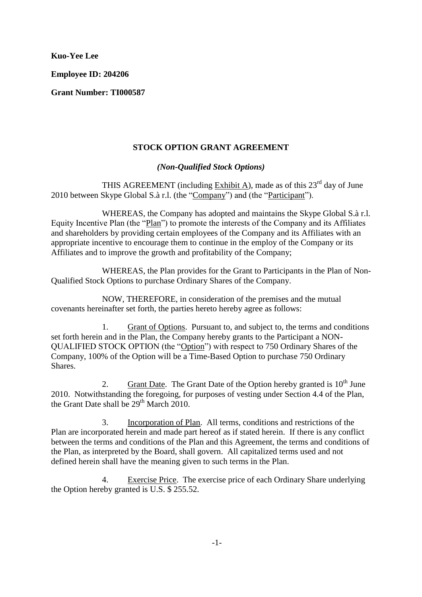**Kuo-Yee Lee**

**Employee ID: 204206**

**Grant Number: TI000587**

# **STOCK OPTION GRANT AGREEMENT**

### *(Non-Qualified Stock Options)*

THIS AGREEMENT (including Exhibit A), made as of this  $23<sup>rd</sup>$  day of June 2010 between Skype Global S.à r.l. (the "Company") and (the "Participant").

WHEREAS, the Company has adopted and maintains the Skype Global S.à r.l. Equity Incentive Plan (the "Plan") to promote the interests of the Company and its Affiliates and shareholders by providing certain employees of the Company and its Affiliates with an appropriate incentive to encourage them to continue in the employ of the Company or its Affiliates and to improve the growth and profitability of the Company;

WHEREAS, the Plan provides for the Grant to Participants in the Plan of Non-Qualified Stock Options to purchase Ordinary Shares of the Company.

NOW, THEREFORE, in consideration of the premises and the mutual covenants hereinafter set forth, the parties hereto hereby agree as follows:

1. Grant of Options. Pursuant to, and subject to, the terms and conditions set forth herein and in the Plan, the Company hereby grants to the Participant a NON-QUALIFIED STOCK OPTION (the "Option") with respect to 750 Ordinary Shares of the Company, 100% of the Option will be a Time-Based Option to purchase 750 Ordinary Shares.

2. Grant Date. The Grant Date of the Option hereby granted is  $10^{th}$  June 2010. Notwithstanding the foregoing, for purposes of vesting under Section 4.4 of the Plan, the Grant Date shall be  $29<sup>th</sup>$  March  $2010$ .

3. Incorporation of Plan. All terms, conditions and restrictions of the Plan are incorporated herein and made part hereof as if stated herein. If there is any conflict between the terms and conditions of the Plan and this Agreement, the terms and conditions of the Plan, as interpreted by the Board, shall govern. All capitalized terms used and not defined herein shall have the meaning given to such terms in the Plan.

4. Exercise Price. The exercise price of each Ordinary Share underlying the Option hereby granted is U.S. \$ 255.52.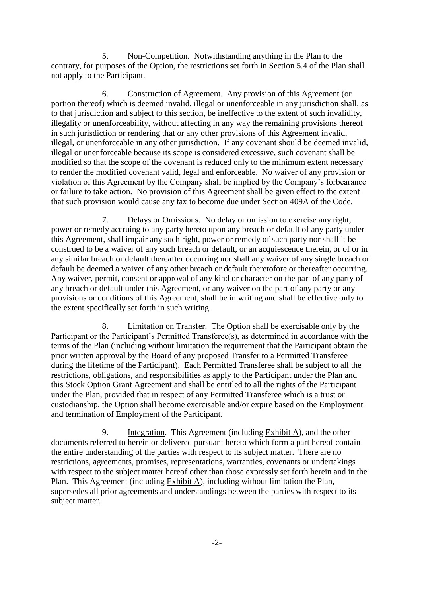5. Non-Competition. Notwithstanding anything in the Plan to the contrary, for purposes of the Option, the restrictions set forth in Section 5.4 of the Plan shall not apply to the Participant.

6. Construction of Agreement. Any provision of this Agreement (or portion thereof) which is deemed invalid, illegal or unenforceable in any jurisdiction shall, as to that jurisdiction and subject to this section, be ineffective to the extent of such invalidity, illegality or unenforceability, without affecting in any way the remaining provisions thereof in such jurisdiction or rendering that or any other provisions of this Agreement invalid, illegal, or unenforceable in any other jurisdiction. If any covenant should be deemed invalid, illegal or unenforceable because its scope is considered excessive, such covenant shall be modified so that the scope of the covenant is reduced only to the minimum extent necessary to render the modified covenant valid, legal and enforceable. No waiver of any provision or violation of this Agreement by the Company shall be implied by the Company's forbearance or failure to take action. No provision of this Agreement shall be given effect to the extent that such provision would cause any tax to become due under Section 409A of the Code.

7. Delays or Omissions. No delay or omission to exercise any right, power or remedy accruing to any party hereto upon any breach or default of any party under this Agreement, shall impair any such right, power or remedy of such party nor shall it be construed to be a waiver of any such breach or default, or an acquiescence therein, or of or in any similar breach or default thereafter occurring nor shall any waiver of any single breach or default be deemed a waiver of any other breach or default theretofore or thereafter occurring. Any waiver, permit, consent or approval of any kind or character on the part of any party of any breach or default under this Agreement, or any waiver on the part of any party or any provisions or conditions of this Agreement, shall be in writing and shall be effective only to the extent specifically set forth in such writing.

8. Limitation on Transfer. The Option shall be exercisable only by the Participant or the Participant's Permitted Transferee(s), as determined in accordance with the terms of the Plan (including without limitation the requirement that the Participant obtain the prior written approval by the Board of any proposed Transfer to a Permitted Transferee during the lifetime of the Participant). Each Permitted Transferee shall be subject to all the restrictions, obligations, and responsibilities as apply to the Participant under the Plan and this Stock Option Grant Agreement and shall be entitled to all the rights of the Participant under the Plan, provided that in respect of any Permitted Transferee which is a trust or custodianship, the Option shall become exercisable and/or expire based on the Employment and termination of Employment of the Participant.

9. Integration. This Agreement (including Exhibit A), and the other documents referred to herein or delivered pursuant hereto which form a part hereof contain the entire understanding of the parties with respect to its subject matter. There are no restrictions, agreements, promises, representations, warranties, covenants or undertakings with respect to the subject matter hereof other than those expressly set forth herein and in the Plan. This Agreement (including Exhibit A), including without limitation the Plan, supersedes all prior agreements and understandings between the parties with respect to its subject matter.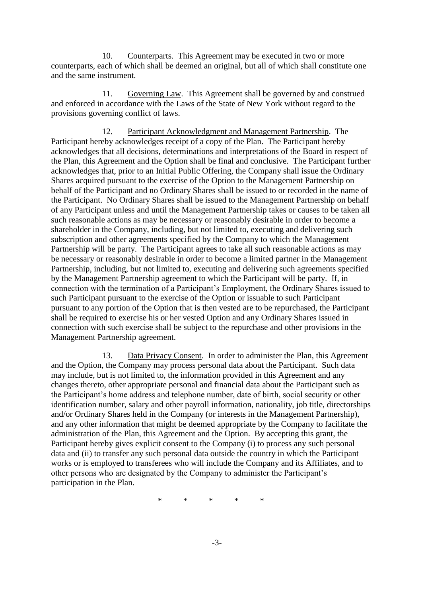10. Counterparts. This Agreement may be executed in two or more counterparts, each of which shall be deemed an original, but all of which shall constitute one and the same instrument.

11. Governing Law. This Agreement shall be governed by and construed and enforced in accordance with the Laws of the State of New York without regard to the provisions governing conflict of laws.

12. Participant Acknowledgment and Management Partnership. The Participant hereby acknowledges receipt of a copy of the Plan. The Participant hereby acknowledges that all decisions, determinations and interpretations of the Board in respect of the Plan, this Agreement and the Option shall be final and conclusive. The Participant further acknowledges that, prior to an Initial Public Offering, the Company shall issue the Ordinary Shares acquired pursuant to the exercise of the Option to the Management Partnership on behalf of the Participant and no Ordinary Shares shall be issued to or recorded in the name of the Participant. No Ordinary Shares shall be issued to the Management Partnership on behalf of any Participant unless and until the Management Partnership takes or causes to be taken all such reasonable actions as may be necessary or reasonably desirable in order to become a shareholder in the Company, including, but not limited to, executing and delivering such subscription and other agreements specified by the Company to which the Management Partnership will be party. The Participant agrees to take all such reasonable actions as may be necessary or reasonably desirable in order to become a limited partner in the Management Partnership, including, but not limited to, executing and delivering such agreements specified by the Management Partnership agreement to which the Participant will be party. If, in connection with the termination of a Participant's Employment, the Ordinary Shares issued to such Participant pursuant to the exercise of the Option or issuable to such Participant pursuant to any portion of the Option that is then vested are to be repurchased, the Participant shall be required to exercise his or her vested Option and any Ordinary Shares issued in connection with such exercise shall be subject to the repurchase and other provisions in the Management Partnership agreement.

13. Data Privacy Consent. In order to administer the Plan, this Agreement and the Option, the Company may process personal data about the Participant. Such data may include, but is not limited to, the information provided in this Agreement and any changes thereto, other appropriate personal and financial data about the Participant such as the Participant's home address and telephone number, date of birth, social security or other identification number, salary and other payroll information, nationality, job title, directorships and/or Ordinary Shares held in the Company (or interests in the Management Partnership), and any other information that might be deemed appropriate by the Company to facilitate the administration of the Plan, this Agreement and the Option. By accepting this grant, the Participant hereby gives explicit consent to the Company (i) to process any such personal data and (ii) to transfer any such personal data outside the country in which the Participant works or is employed to transferees who will include the Company and its Affiliates, and to other persons who are designated by the Company to administer the Participant's participation in the Plan.

\* \* \* \* \*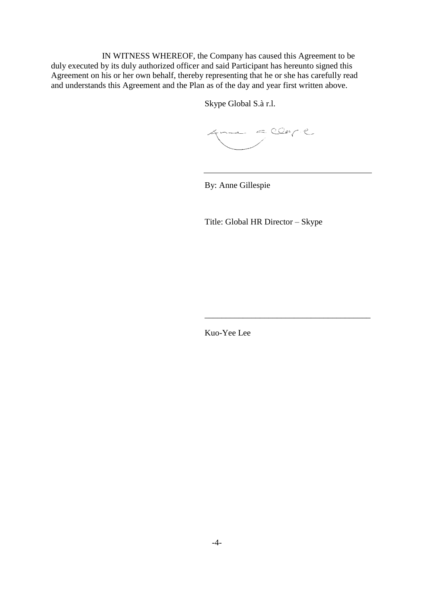IN WITNESS WHEREOF, the Company has caused this Agreement to be duly executed by its duly authorized officer and said Participant has hereunto signed this Agreement on his or her own behalf, thereby representing that he or she has carefully read and understands this Agreement and the Plan as of the day and year first written above.

Skype Global S.à r.l.

 $\begin{array}{ccc} & \multicolumn{3}{c}{} & \multicolumn{3}{c}{} & \multicolumn{3}{c}{} & \multicolumn{3}{c}{} & \multicolumn{3}{c}{} & \multicolumn{3}{c}{} & \multicolumn{3}{c}{} & \multicolumn{3}{c}{} & \multicolumn{3}{c}{} & \multicolumn{3}{c}{} & \multicolumn{3}{c}{} & \multicolumn{3}{c}{} & \multicolumn{3}{c}{} & \multicolumn{3}{c}{} & \multicolumn{3}{c}{} & \multicolumn{3}{c}{} & \multicolumn{3}{c}{} & \multicolumn{3}{c}{} & \multicolumn{3}{c}{} & \multic$ 

By: Anne Gillespie

Title: Global HR Director – Skype

\_\_\_\_\_\_\_\_\_\_\_\_\_\_\_\_\_\_\_\_\_\_\_\_\_\_\_\_\_\_\_\_\_\_\_\_\_\_\_

Kuo-Yee Lee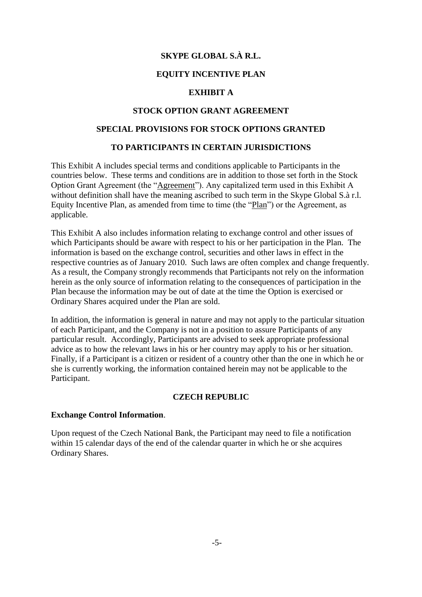# **SKYPE GLOBAL S.À R.L.**

## **EQUITY INCENTIVE PLAN**

## **EXHIBIT A**

### **STOCK OPTION GRANT AGREEMENT**

# **SPECIAL PROVISIONS FOR STOCK OPTIONS GRANTED**

### **TO PARTICIPANTS IN CERTAIN JURISDICTIONS**

This Exhibit A includes special terms and conditions applicable to Participants in the countries below. These terms and conditions are in addition to those set forth in the Stock Option Grant Agreement (the "Agreement"). Any capitalized term used in this Exhibit A without definition shall have the meaning ascribed to such term in the Skype Global S.à r.l. Equity Incentive Plan, as amended from time to time (the "Plan") or the Agreement, as applicable.

This Exhibit A also includes information relating to exchange control and other issues of which Participants should be aware with respect to his or her participation in the Plan. The information is based on the exchange control, securities and other laws in effect in the respective countries as of January 2010. Such laws are often complex and change frequently. As a result, the Company strongly recommends that Participants not rely on the information herein as the only source of information relating to the consequences of participation in the Plan because the information may be out of date at the time the Option is exercised or Ordinary Shares acquired under the Plan are sold.

In addition, the information is general in nature and may not apply to the particular situation of each Participant, and the Company is not in a position to assure Participants of any particular result. Accordingly, Participants are advised to seek appropriate professional advice as to how the relevant laws in his or her country may apply to his or her situation. Finally, if a Participant is a citizen or resident of a country other than the one in which he or she is currently working, the information contained herein may not be applicable to the Participant.

### **CZECH REPUBLIC**

#### **Exchange Control Information**.

Upon request of the Czech National Bank, the Participant may need to file a notification within 15 calendar days of the end of the calendar quarter in which he or she acquires Ordinary Shares.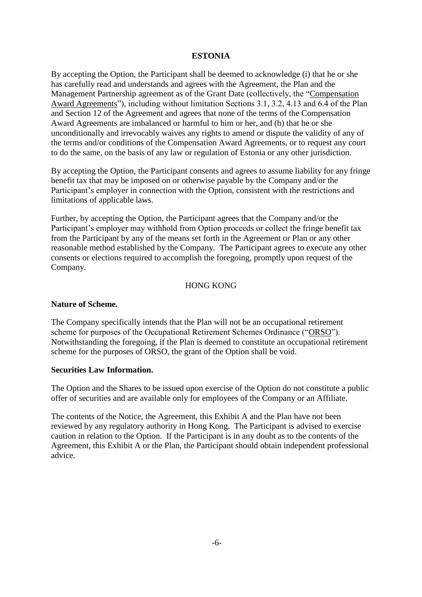## **ESTONIA**

By accepting the Option, the Participant shall be deemed to acknowledge (i) that he or she has carefully read and understands and agrees with the Agreement, the Plan and the Management Partnership agreement as of the Grant Date (collectively, the "Compensation Award Agreements"), including without limitation Sections 3.1, 3.2, 4.13 and 6.4 of the Plan and Section 12 of the Agreement and agrees that none of the terms of the Compensation Award Agreements are imbalanced or harmful to him or her, and (b) that he or she unconditionally and irrevocably waives any rights to amend or dispute the validity of any of the terms and/or conditions of the Compensation Award Agreements, or to request any court to do the same, on the basis of any law or regulation of Estonia or any other jurisdiction.

By accepting the Option, the Participant consents and agrees to assume liability for any fringe benefit tax that may be imposed on or otherwise payable by the Company and/or the Participant's employer in connection with the Option, consistent with the restrictions and limitations of applicable laws.

Further, by accepting the Option, the Participant agrees that the Company and/or the Participant's employer may withhold from Option proceeds or collect the fringe benefit tax from the Participant by any of the means set forth in the Agreement or Plan or any other reasonable method established by the Company. The Participant agrees to execute any other consents or elections required to accomplish the foregoing, promptly upon request of the Company.

#### HONG KONG

### **Nature of Scheme.**

The Company specifically intends that the Plan will not be an occupational retirement scheme for purposes of the Occupational Retirement Schemes Ordinance ("ORSO"). Notwithstanding the foregoing, if the Plan is deemed to constitute an occupational retirement scheme for the purposes of ORSO, the grant of the Option shall be void.

### **Securities Law Information.**

The Option and the Shares to be issued upon exercise of the Option do not constitute a public offer of securities and are available only for employees of the Company or an Affiliate.

The contents of the Notice, the Agreement, this Exhibit A and the Plan have not been reviewed by any regulatory authority in Hong Kong. The Participant is advised to exercise caution in relation to the Option. If the Participant is in any doubt as to the contents of the Agreement, this Exhibit A or the Plan, the Participant should obtain independent professional advice.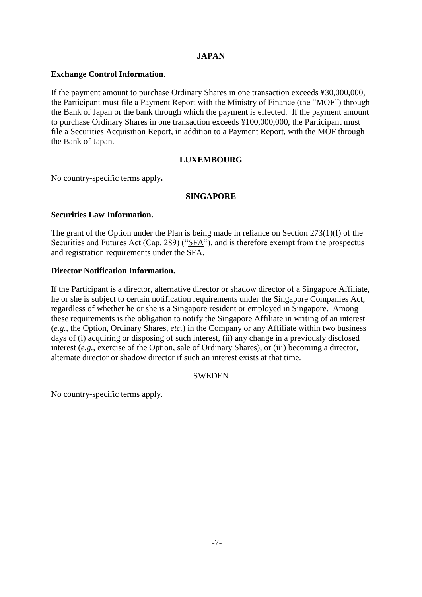# **JAPAN**

### **Exchange Control Information**.

If the payment amount to purchase Ordinary Shares in one transaction exceeds ¥30,000,000, the Participant must file a Payment Report with the Ministry of Finance (the "MOF") through the Bank of Japan or the bank through which the payment is effected. If the payment amount to purchase Ordinary Shares in one transaction exceeds ¥100,000,000, the Participant must file a Securities Acquisition Report, in addition to a Payment Report, with the MOF through the Bank of Japan.

### **LUXEMBOURG**

No country-specific terms apply**.**

### **SINGAPORE**

### **Securities Law Information.**

The grant of the Option under the Plan is being made in reliance on Section 273(1)(f) of the Securities and Futures Act (Cap. 289) ("SFA"), and is therefore exempt from the prospectus and registration requirements under the SFA.

#### **Director Notification Information.**

If the Participant is a director, alternative director or shadow director of a Singapore Affiliate, he or she is subject to certain notification requirements under the Singapore Companies Act, regardless of whether he or she is a Singapore resident or employed in Singapore. Among these requirements is the obligation to notify the Singapore Affiliate in writing of an interest (*e.g.*, the Option, Ordinary Shares, *etc.*) in the Company or any Affiliate within two business days of (i) acquiring or disposing of such interest, (ii) any change in a previously disclosed interest (*e.g.*, exercise of the Option, sale of Ordinary Shares), or (iii) becoming a director, alternate director or shadow director if such an interest exists at that time.

#### **SWEDEN**

No country-specific terms apply.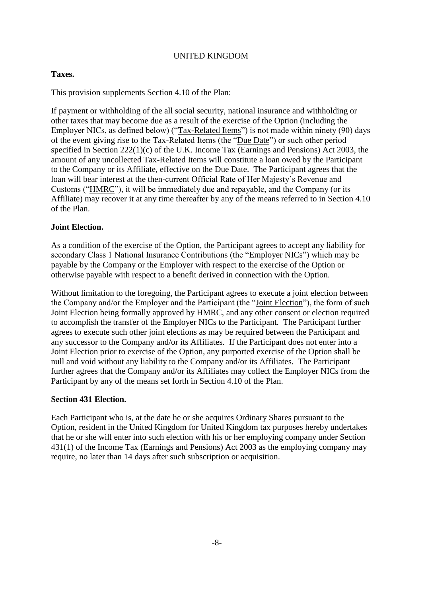### UNITED KINGDOM

## **Taxes.**

This provision supplements Section 4.10 of the Plan:

If payment or withholding of the all social security, national insurance and withholding or other taxes that may become due as a result of the exercise of the Option (including the Employer NICs, as defined below) ("Tax-Related Items") is not made within ninety (90) days of the event giving rise to the Tax-Related Items (the "Due Date") or such other period specified in Section 222(1)(c) of the U.K. Income Tax (Earnings and Pensions) Act 2003, the amount of any uncollected Tax-Related Items will constitute a loan owed by the Participant to the Company or its Affiliate, effective on the Due Date. The Participant agrees that the loan will bear interest at the then-current Official Rate of Her Majesty's Revenue and Customs ("HMRC"), it will be immediately due and repayable, and the Company (or its Affiliate) may recover it at any time thereafter by any of the means referred to in Section 4.10 of the Plan.

## **Joint Election.**

As a condition of the exercise of the Option, the Participant agrees to accept any liability for secondary Class 1 National Insurance Contributions (the "Employer NICs") which may be payable by the Company or the Employer with respect to the exercise of the Option or otherwise payable with respect to a benefit derived in connection with the Option.

Without limitation to the foregoing, the Participant agrees to execute a joint election between the Company and/or the Employer and the Participant (the "Joint Election"), the form of such Joint Election being formally approved by HMRC, and any other consent or election required to accomplish the transfer of the Employer NICs to the Participant. The Participant further agrees to execute such other joint elections as may be required between the Participant and any successor to the Company and/or its Affiliates. If the Participant does not enter into a Joint Election prior to exercise of the Option, any purported exercise of the Option shall be null and void without any liability to the Company and/or its Affiliates. The Participant further agrees that the Company and/or its Affiliates may collect the Employer NICs from the Participant by any of the means set forth in Section 4.10 of the Plan.

# **Section 431 Election.**

Each Participant who is, at the date he or she acquires Ordinary Shares pursuant to the Option, resident in the United Kingdom for United Kingdom tax purposes hereby undertakes that he or she will enter into such election with his or her employing company under Section 431(1) of the Income Tax (Earnings and Pensions) Act 2003 as the employing company may require, no later than 14 days after such subscription or acquisition.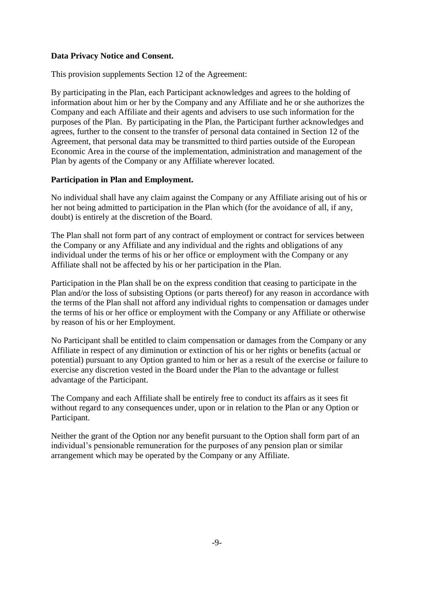### **Data Privacy Notice and Consent.**

This provision supplements Section 12 of the Agreement:

By participating in the Plan, each Participant acknowledges and agrees to the holding of information about him or her by the Company and any Affiliate and he or she authorizes the Company and each Affiliate and their agents and advisers to use such information for the purposes of the Plan. By participating in the Plan, the Participant further acknowledges and agrees, further to the consent to the transfer of personal data contained in Section 12 of the Agreement, that personal data may be transmitted to third parties outside of the European Economic Area in the course of the implementation, administration and management of the Plan by agents of the Company or any Affiliate wherever located.

## **Participation in Plan and Employment.**

No individual shall have any claim against the Company or any Affiliate arising out of his or her not being admitted to participation in the Plan which (for the avoidance of all, if any, doubt) is entirely at the discretion of the Board.

The Plan shall not form part of any contract of employment or contract for services between the Company or any Affiliate and any individual and the rights and obligations of any individual under the terms of his or her office or employment with the Company or any Affiliate shall not be affected by his or her participation in the Plan.

Participation in the Plan shall be on the express condition that ceasing to participate in the Plan and/or the loss of subsisting Options (or parts thereof) for any reason in accordance with the terms of the Plan shall not afford any individual rights to compensation or damages under the terms of his or her office or employment with the Company or any Affiliate or otherwise by reason of his or her Employment.

No Participant shall be entitled to claim compensation or damages from the Company or any Affiliate in respect of any diminution or extinction of his or her rights or benefits (actual or potential) pursuant to any Option granted to him or her as a result of the exercise or failure to exercise any discretion vested in the Board under the Plan to the advantage or fullest advantage of the Participant.

The Company and each Affiliate shall be entirely free to conduct its affairs as it sees fit without regard to any consequences under, upon or in relation to the Plan or any Option or Participant.

Neither the grant of the Option nor any benefit pursuant to the Option shall form part of an individual's pensionable remuneration for the purposes of any pension plan or similar arrangement which may be operated by the Company or any Affiliate.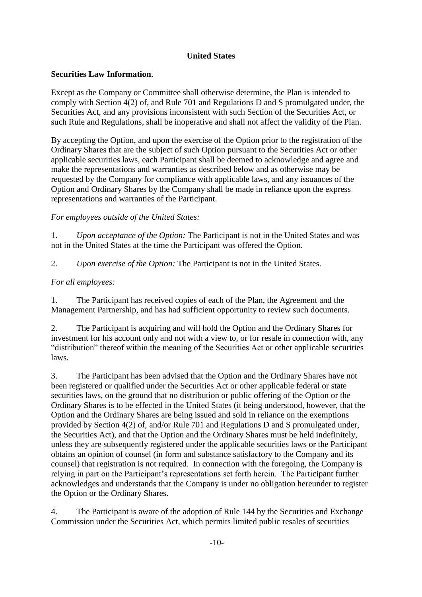# **United States**

# **Securities Law Information**.

Except as the Company or Committee shall otherwise determine, the Plan is intended to comply with Section 4(2) of, and Rule 701 and Regulations D and S promulgated under, the Securities Act, and any provisions inconsistent with such Section of the Securities Act, or such Rule and Regulations, shall be inoperative and shall not affect the validity of the Plan.

By accepting the Option, and upon the exercise of the Option prior to the registration of the Ordinary Shares that are the subject of such Option pursuant to the Securities Act or other applicable securities laws, each Participant shall be deemed to acknowledge and agree and make the representations and warranties as described below and as otherwise may be requested by the Company for compliance with applicable laws, and any issuances of the Option and Ordinary Shares by the Company shall be made in reliance upon the express representations and warranties of the Participant.

# *For employees outside of the United States:*

1. *Upon acceptance of the Option:* The Participant is not in the United States and was not in the United States at the time the Participant was offered the Option.

2. *Upon exercise of the Option:* The Participant is not in the United States.

# *For all employees:*

1. The Participant has received copies of each of the Plan, the Agreement and the Management Partnership, and has had sufficient opportunity to review such documents.

2. The Participant is acquiring and will hold the Option and the Ordinary Shares for investment for his account only and not with a view to, or for resale in connection with, any "distribution" thereof within the meaning of the Securities Act or other applicable securities laws.

3. The Participant has been advised that the Option and the Ordinary Shares have not been registered or qualified under the Securities Act or other applicable federal or state securities laws, on the ground that no distribution or public offering of the Option or the Ordinary Shares is to be effected in the United States (it being understood, however, that the Option and the Ordinary Shares are being issued and sold in reliance on the exemptions provided by Section 4(2) of, and/or Rule 701 and Regulations D and S promulgated under, the Securities Act), and that the Option and the Ordinary Shares must be held indefinitely, unless they are subsequently registered under the applicable securities laws or the Participant obtains an opinion of counsel (in form and substance satisfactory to the Company and its counsel) that registration is not required. In connection with the foregoing, the Company is relying in part on the Participant's representations set forth herein. The Participant further acknowledges and understands that the Company is under no obligation hereunder to register the Option or the Ordinary Shares.

4. The Participant is aware of the adoption of Rule 144 by the Securities and Exchange Commission under the Securities Act, which permits limited public resales of securities